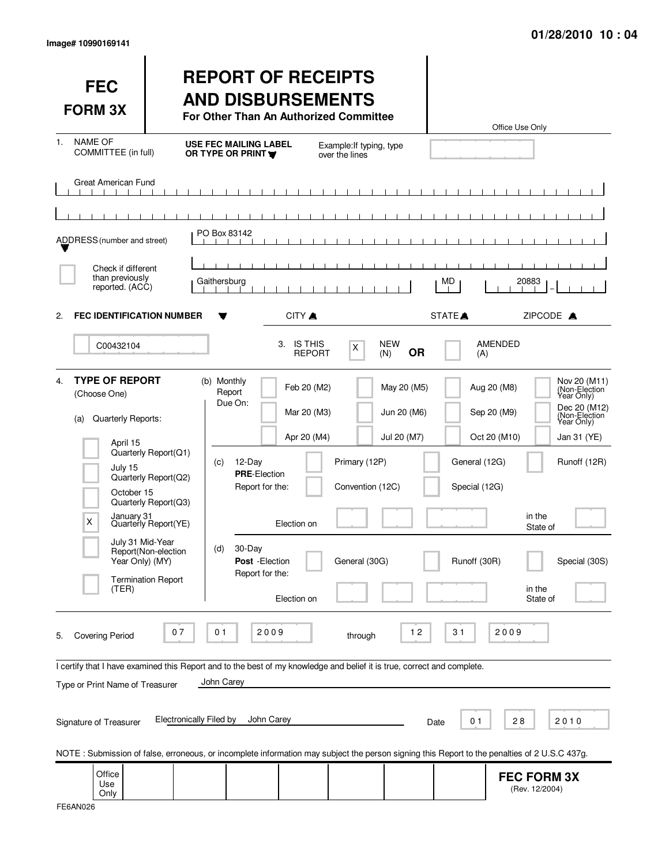| <b>FEC</b><br><b>FORM 3X</b>                                                                                                                                    |                                                                                                                     | <b>REPORT OF RECEIPTS</b><br><b>AND DISBURSEMENTS</b><br>For Other Than An Authorized Committee                             |                                                                                |                                           | Office Use Only                                                                        |                                                                                                                                                    |
|-----------------------------------------------------------------------------------------------------------------------------------------------------------------|---------------------------------------------------------------------------------------------------------------------|-----------------------------------------------------------------------------------------------------------------------------|--------------------------------------------------------------------------------|-------------------------------------------|----------------------------------------------------------------------------------------|----------------------------------------------------------------------------------------------------------------------------------------------------|
| <b>NAME OF</b><br>1.<br>COMMITTEE (in full)                                                                                                                     |                                                                                                                     | <b>USE FEC MAILING LABEL</b><br>OR TYPE OR PRINT                                                                            | Example: If typing, type<br>over the lines                                     |                                           |                                                                                        |                                                                                                                                                    |
| <b>Great American Fund</b>                                                                                                                                      |                                                                                                                     |                                                                                                                             | - 1                                                                            |                                           |                                                                                        |                                                                                                                                                    |
| ADDRESS (number and street)                                                                                                                                     |                                                                                                                     | PO Box 83142                                                                                                                |                                                                                |                                           |                                                                                        |                                                                                                                                                    |
| Check if different<br>than previously<br>reported. (ACC)                                                                                                        |                                                                                                                     | Gaithersburg                                                                                                                |                                                                                | MD                                        | 20883                                                                                  |                                                                                                                                                    |
| <b>FEC IDENTIFICATION NUMBER</b><br>2.                                                                                                                          |                                                                                                                     | CITY A                                                                                                                      |                                                                                | STATE <sup></sup>                         |                                                                                        | ZIPCODE A                                                                                                                                          |
| C00432104                                                                                                                                                       |                                                                                                                     | 3.                                                                                                                          | <b>IS THIS</b><br>X<br><b>REPORT</b>                                           | <b>NEW</b><br><b>OR</b><br>(N)            | AMENDED<br>(A)                                                                         |                                                                                                                                                    |
| <b>TYPE OF REPORT</b><br>4.<br>(Choose One)<br>Quarterly Reports:<br>(a)<br>April 15<br>July 15<br>October 15<br>January <sub>31</sub><br>X<br>July 31 Mid-Year | Quarterly Report(Q1)<br>Quarterly Report(Q2)<br>Quarterly Report(Q3)<br>Quarterly Report(YE)<br>Report(Non-election | (b) Monthly<br>Report<br>Due On:<br>12-Day<br>(C)<br><b>PRE-Election</b><br>Report for the:<br>Election on<br>30-Day<br>(d) | Feb 20 (M2)<br>Mar 20 (M3)<br>Apr 20 (M4)<br>Primary (12P)<br>Convention (12C) | May 20 (M5)<br>Jun 20 (M6)<br>Jul 20 (M7) | Aug 20 (M8)<br>Sep 20 (M9)<br>Oct 20 (M10)<br>General (12G)<br>Special (12G)<br>in the | Nov 20 (M11)<br>(Non-Election<br>Year Only)<br>Dec 20 (M12)<br>(Non-Election <sup>1</sup><br>Year Only)<br>Jan 31 (YE)<br>Runoff (12R)<br>State of |
| Year Only) (MY)<br>(TER)                                                                                                                                        | <b>Termination Report</b>                                                                                           | Post - Election<br>Report for the:<br>Election on                                                                           | General (30G)                                                                  |                                           | Runoff (30R)<br>in the                                                                 | Special (30S)<br>State of                                                                                                                          |
| <b>Covering Period</b><br>5.                                                                                                                                    | 07                                                                                                                  | 01<br>2009                                                                                                                  | through                                                                        | $12$                                      | 2009<br>31                                                                             |                                                                                                                                                    |
| I certify that I have examined this Report and to the best of my knowledge and belief it is true, correct and complete.<br>Type or Print Name of Treasurer      |                                                                                                                     | John Carey                                                                                                                  |                                                                                |                                           |                                                                                        |                                                                                                                                                    |
| Signature of Treasurer                                                                                                                                          | <b>Electronically Filed by</b>                                                                                      | John Carey                                                                                                                  |                                                                                | Date                                      | 0 <sub>1</sub><br>28                                                                   | 2010                                                                                                                                               |
| NOTE: Submission of false, erroneous, or incomplete information may subject the person signing this Report to the penalties of 2 U.S.C 437g.                    |                                                                                                                     |                                                                                                                             |                                                                                |                                           |                                                                                        |                                                                                                                                                    |
| Office<br>Use<br>Only                                                                                                                                           |                                                                                                                     |                                                                                                                             |                                                                                |                                           | <b>FEC FORM 3X</b><br>(Rev. 12/2004)                                                   |                                                                                                                                                    |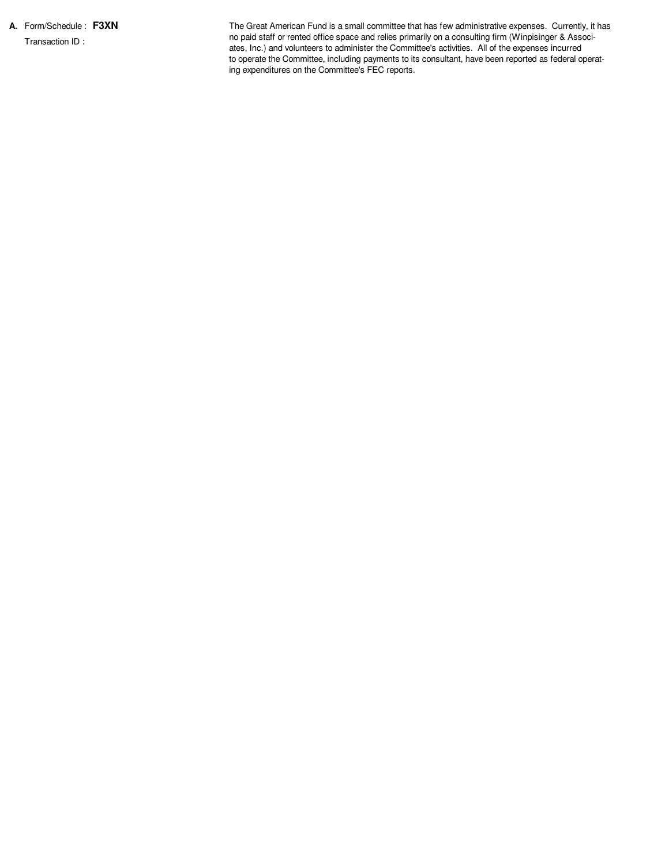**A.** Form/Schedule : **F3XN** Transaction ID :

The Great American Fund is a small committee that has few administrative expenses. Currently, it has no paid staff or rented office space and relies primarily on a consulting firm (Winpisinger & Associates, Inc.) and volunteers to administer the Committee's activities. All of the expenses incurred to operate the Committee, including payments to its consultant, have been reported as federal operating expenditures on the Committee's FEC reports.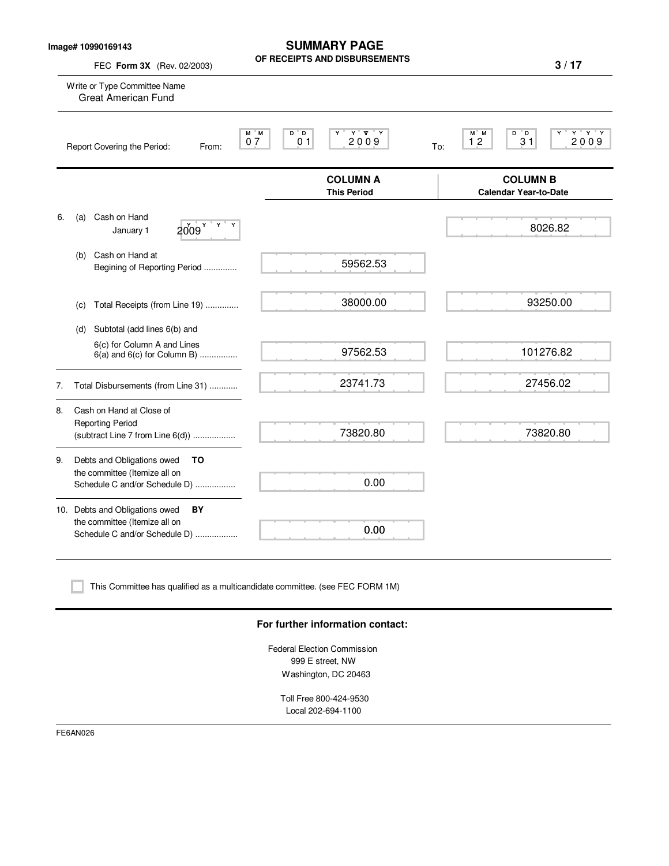| Image# 10990169143 |
|--------------------|
|--------------------|

**SUMMARY PAGE OF RECEIPTS AND DISBURSEMENTS**

| Write or Type Committee Name<br><b>Great American Fund</b>                                             |                                                                 |                                                                     |
|--------------------------------------------------------------------------------------------------------|-----------------------------------------------------------------|---------------------------------------------------------------------|
|                                                                                                        |                                                                 |                                                                     |
| Report Covering the Period:<br>From:                                                                   | $Y'$ $Y'$ $Y$<br>$M$ $M$<br>D D<br>2009<br>07<br>0 <sub>1</sub> | $Y$ $Y$ $Y$<br>M M<br>$D^{\bullet}D$<br>2009<br>12<br>31<br>To:     |
|                                                                                                        | <b>COLUMN A</b><br><b>This Period</b>                           | <b>COLUMN B</b><br><b>Calendar Year-to-Date</b>                     |
| Cash on Hand<br>Y<br>2009 <sup>Y</sup><br>January 1                                                    |                                                                 | 8026.82                                                             |
| Cash on Hand at<br>Begining of Reporting Period                                                        | 59562.53                                                        |                                                                     |
|                                                                                                        | 38000.00                                                        | 93250.00                                                            |
| Subtotal (add lines 6(b) and                                                                           |                                                                 |                                                                     |
| 6(c) for Column A and Lines<br>$6(a)$ and $6(c)$ for Column B)                                         | 97562.53                                                        | 101276.82                                                           |
|                                                                                                        | 23741.73                                                        | 27456.02                                                            |
| Cash on Hand at Close of<br><b>Reporting Period</b><br>(subtract Line 7 from Line 6(d))                | 73820.80                                                        | 73820.80                                                            |
| Debts and Obligations owed<br>TO<br>the committee (Itemize all on<br>Schedule C and/or Schedule D)     | 0.00                                                            |                                                                     |
| 10. Debts and Obligations owed<br>BY<br>the committee (Itemize all on<br>Schedule C and/or Schedule D) | 0.00                                                            |                                                                     |
|                                                                                                        |                                                                 | Total Receipts (from Line 19)<br>Total Disbursements (from Line 31) |

### **For further information contact:**

Federal Election Commission 999 E street, NW Washington, DC 20463

Toll Free 800-424-9530 Local 202-694-1100

FE6AN026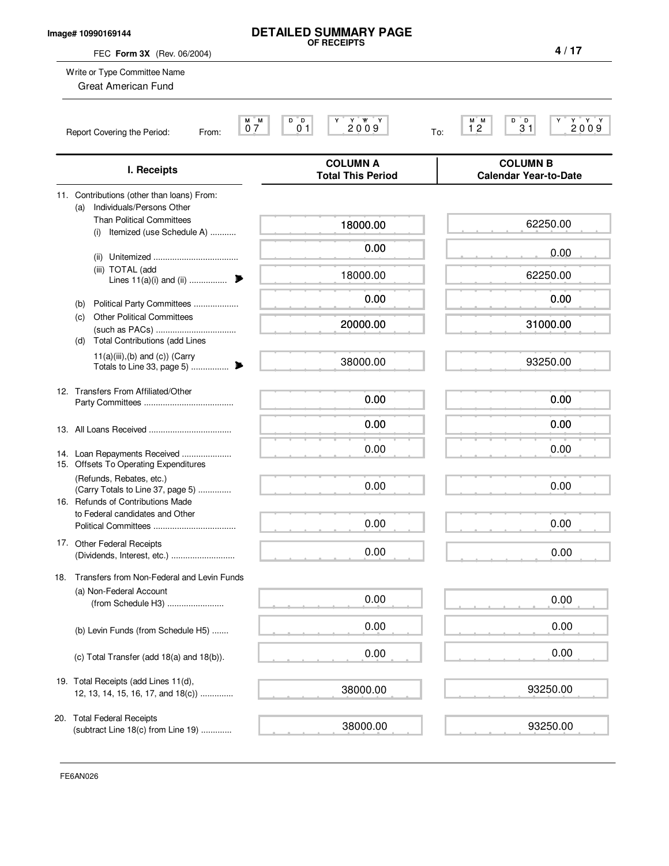## **Image# 10990169144**

FEC **Form 3X** (Rev. 06/2004)

Write or Type Committee Name

Great American Fund

# **DETAILED SUMMARY PAGE OF RECEIPTS**

M M D D Y Y YY Y M M D D Y Y Y Y 0 7 0 1 2 0 0 9 1 2 3 1 2 0 0 9 **4 / 17**

| I. Receipts                                                                                        | <b>COLUMN A</b><br><b>Total This Period</b> | <b>COLUMN B</b><br><b>Calendar Year-to-Date</b> |
|----------------------------------------------------------------------------------------------------|---------------------------------------------|-------------------------------------------------|
| 11. Contributions (other than loans) From:<br>Individuals/Persons Other<br>(a)                     |                                             |                                                 |
| <b>Than Political Committees</b><br>Itemized (use Schedule A)<br>(i)                               | 18000.00                                    | 62250.00                                        |
|                                                                                                    | 0.00                                        | 0.00                                            |
| (iii) TOTAL (add<br>Lines $11(a)(i)$ and (ii)                                                      | 18000.00                                    | 62250.00                                        |
| Political Party Committees<br>(b)                                                                  | 0.00                                        | 0.00                                            |
| <b>Other Political Committees</b><br>(c)<br><b>Total Contributions (add Lines</b><br>(d)           | 20000.00                                    | 31000.00                                        |
| $11(a)(iii),(b)$ and $(c)$ ) (Carry                                                                | 38000.00                                    | 93250.00                                        |
| 12. Transfers From Affiliated/Other                                                                | 0.00                                        | 0.00                                            |
|                                                                                                    | 0.00                                        | 0.00                                            |
| 14. Loan Repayments Received<br>15. Offsets To Operating Expenditures                              | 0.00                                        | 0.00                                            |
| (Refunds, Rebates, etc.)<br>(Carry Totals to Line 37, page 5)<br>16. Refunds of Contributions Made | 0.00                                        | 0.00                                            |
| to Federal candidates and Other                                                                    | 0.00                                        | 0.00                                            |
| 17. Other Federal Receipts<br>(Dividends, Interest, etc.)                                          | 0.00                                        | 0.00                                            |
| Transfers from Non-Federal and Levin Funds<br>18.                                                  |                                             |                                                 |
| (a) Non-Federal Account<br>(from Schedule H3)                                                      | 0.00                                        | 0.00                                            |
| (b) Levin Funds (from Schedule H5)                                                                 | 0.00                                        | 0.00                                            |
| (c) Total Transfer (add 18(a) and 18(b)).                                                          | 0.00                                        | 0.00                                            |
| 19. Total Receipts (add Lines 11(d),<br>12, 13, 14, 15, 16, 17, and 18(c))                         | 38000.00                                    | 93250.00                                        |
| 20. Total Federal Receipts<br>(subtract Line 18(c) from Line 19)                                   | 38000.00                                    | 93250.00                                        |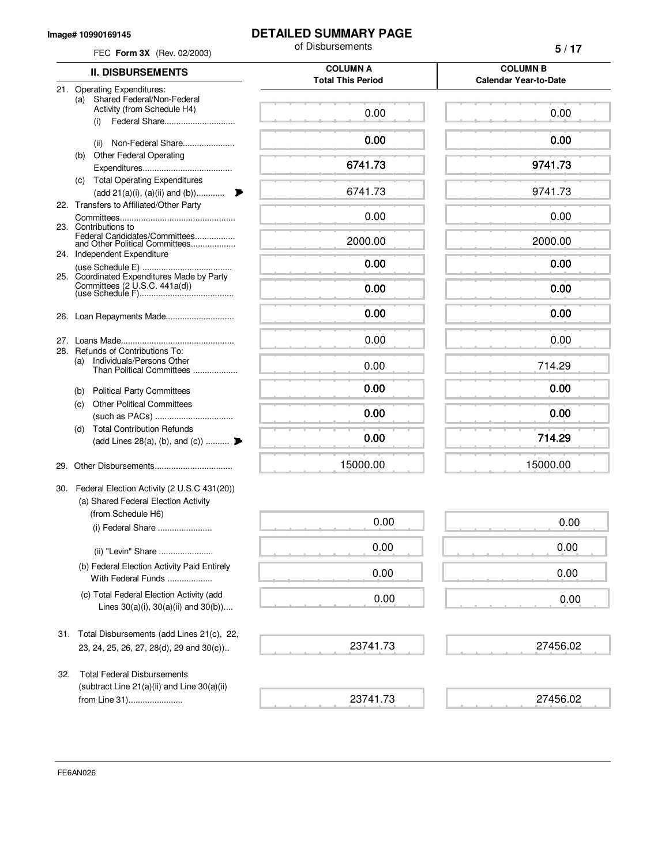#### **Image# 10990169145**

## **DETAILED SUMMARY PAGE**

| FEC Form 3X (Rev. 02/2003)                                                               | of Disbursements                            | 5/17                                            |  |
|------------------------------------------------------------------------------------------|---------------------------------------------|-------------------------------------------------|--|
| <b>II. DISBURSEMENTS</b>                                                                 | <b>COLUMN A</b><br><b>Total This Period</b> | <b>COLUMN B</b><br><b>Calendar Year-to-Date</b> |  |
| 21. Operating Expenditures:                                                              |                                             |                                                 |  |
| Shared Federal/Non-Federal<br>(a)<br>Activity (from Schedule H4)<br>(i)                  | 0.00                                        | 0.00                                            |  |
| Non-Federal Share<br>(ii)                                                                | 0.00                                        | 0.00                                            |  |
| <b>Other Federal Operating</b><br>(b)                                                    | 6741.73                                     | 9741.73                                         |  |
| (c) Total Operating Expenditures                                                         |                                             |                                                 |  |
| (add 21(a)(i), (a)(ii) and (b))<br>22. Transfers to Affiliated/Other Party               | 6741.73                                     | 9741.73                                         |  |
| 23. Contributions to                                                                     | 0.00                                        | 0.00                                            |  |
| Federal Candidates/Committees<br>and Other Political Committees                          | 2000.00                                     | 2000.00                                         |  |
| 24. Independent Expenditure                                                              | 0.00                                        | 0.00                                            |  |
| 25. Coordinated Expenditures Made by Party                                               | 0.00                                        | 0.00                                            |  |
|                                                                                          | 0.00                                        | 0.00                                            |  |
|                                                                                          | 0.00                                        | 0.00                                            |  |
| 28. Refunds of Contributions To:                                                         |                                             |                                                 |  |
| Individuals/Persons Other<br>(a)<br>Than Political Committees                            | 0.00                                        | 714.29                                          |  |
| <b>Political Party Committees</b><br>(b)                                                 | 0.00                                        | 0.00                                            |  |
| <b>Other Political Committees</b><br>(C)                                                 | 0.00                                        | 0.00                                            |  |
| <b>Total Contribution Refunds</b><br>(d)                                                 |                                             |                                                 |  |
| (add Lines 28(a), (b), and (c))                                                          | 0.00                                        | 714.29                                          |  |
| 29.                                                                                      | 15000.00                                    | 15000.00                                        |  |
| 30. Federal Election Activity (2 U.S.C 431(20))                                          |                                             |                                                 |  |
| (a) Shared Federal Election Activity<br>(from Schedule H6)                               |                                             |                                                 |  |
| (i) Federal Share                                                                        | 0.00                                        | 0.00                                            |  |
| (ii) "Levin" Share                                                                       | 0.00                                        | 0.00                                            |  |
| (b) Federal Election Activity Paid Entirely<br>With Federal Funds                        | 0.00                                        | 0.00                                            |  |
| (c) Total Federal Election Activity (add<br>Lines $30(a)(i)$ , $30(a)(ii)$ and $30(b)$ ) | 0.00                                        | 0.00                                            |  |
| Total Disbursements (add Lines 21(c), 22,<br>31.                                         |                                             |                                                 |  |
| 23, 24, 25, 26, 27, 28(d), 29 and 30(c))                                                 | 23741.73                                    | 27456.02                                        |  |
| <b>Total Federal Disbursements</b><br>32.                                                |                                             |                                                 |  |
| (subtract Line $21(a)(ii)$ and Line $30(a)(ii)$<br>from Line 31)                         | 23741.73                                    | 27456.02                                        |  |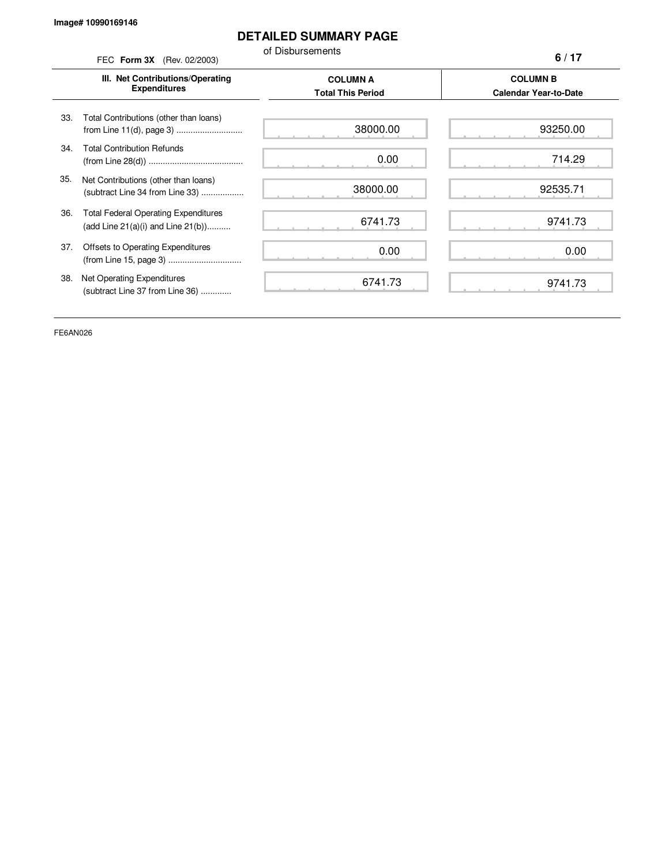# **DETAILED SUMMARY PAGE**

of Disbursements

FEC **Form 3X** (Rev. 02/2003) **III. Net Contributions/Operating Expenditures COLUMN A COLUMN B Total This Period Calendar Year-to-Date** from Line 11(d), page 3) ............................ 33. Total Contributions (other than loans) 34. Total Contribution Refunds (from Line 28(d)) ........................................ 35. Net Contributions (other than loans) (subtract Line 34 from Line 33) .................. 36. Total Federal Operating Expenditures (add Line 21(a)(i) and Line 21(b)).......... 37. Offsets to Operating Expenditures (from Line 15, page 3) ............................... 38. Net Operating Expenditures (subtract Line 37 from Line 36) ............. **6 / 17** 38000.00 0.00 38000.00 6741.73 0.00 6741.73 93250.00 714.29 92535.71 9741.73 0.00 9741.73

FE6AN026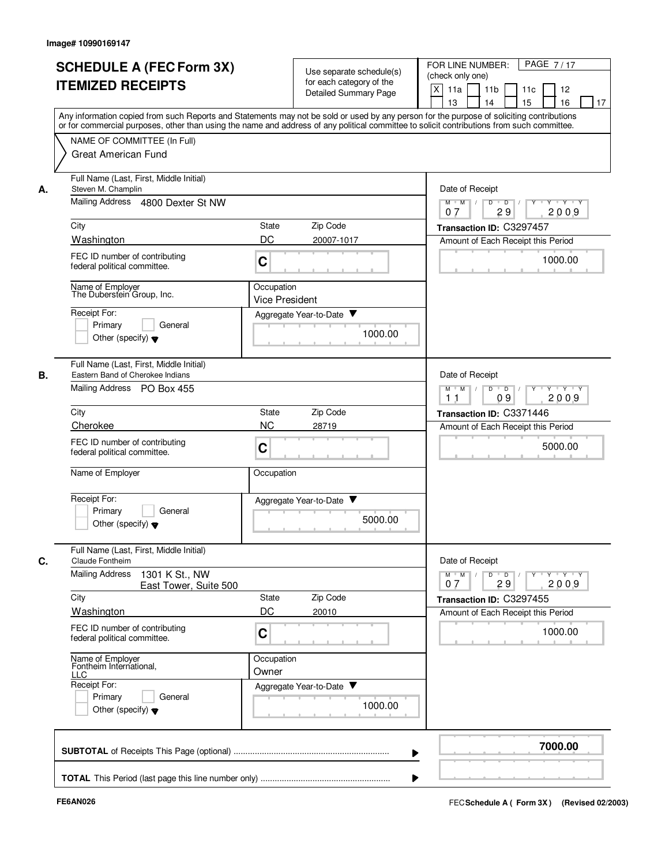| Any information copied from such Reports and Statements may not be sold or used by any person for the purpose of soliciting contributions<br>or for commercial purposes, other than using the name and address of any political committee to solicit contributions from such committee.<br>NAME OF COMMITTEE (In Full)<br><b>Great American Fund</b><br>Full Name (Last, First, Middle Initial)<br>Steven M. Champlin<br>Date of Receipt<br>А.<br>Mailing Address 4800 Dexter St NW<br>$Y - Y - Y$<br>$M$ $M$ /<br>D<br>$\overline{\phantom{0}}$<br>29<br>2009<br>07<br>City<br>Zip Code<br><b>State</b><br>Transaction ID: C3297457<br>DC<br>Washington<br>20007-1017<br>Amount of Each Receipt this Period<br>FEC ID number of contributing<br>1000.00<br>C<br>federal political committee.<br>Name of Employer<br>Occupation<br>The Duberstein Group, Inc.<br><b>Vice President</b><br>Receipt For:<br>Aggregate Year-to-Date<br>Primary<br>General<br>1000.00<br>Other (specify) $\blacktriangledown$<br>Full Name (Last, First, Middle Initial)<br>В.<br>Eastern Band of Cherokee Indians<br>Date of Receipt<br>Mailing Address PO Box 455<br>$M$ M<br>D<br>$\overline{D}$<br>Y 'Y 'Y<br>$\sqrt{ }$<br>2009<br>11<br>09<br>Zip Code<br>City<br><b>State</b><br>Transaction ID: C3371446<br><b>NC</b><br>Cherokee<br>28719<br>Amount of Each Receipt this Period<br>FEC ID number of contributing<br>5000.00<br>C<br>federal political committee.<br>Name of Employer<br>Occupation<br>Receipt For:<br>Aggregate Year-to-Date<br>Primary<br>General<br>5000.00<br>Other (specify) $\blacktriangledown$<br>Full Name (Last, First, Middle Initial)<br>Date of Receipt<br>C.<br>Claude Fontheim<br><b>Mailing Address</b><br>1301 K St., NW<br>$Y + Y + Y$<br>$M$ $M$<br>$D$ $D$ $I$<br>$Y^+$<br>29<br>2009<br>07<br>East Tower, Suite 500<br>Zip Code<br>City<br>State<br>Transaction ID: C3297455<br>DC<br>Washington<br>20010<br>Amount of Each Receipt this Period<br>FEC ID number of contributing<br>1000.00<br>C<br>federal political committee.<br>Name of Employer<br>Occupation<br>Fontheim International, | <b>SCHEDULE A (FEC Form 3X)</b><br><b>ITEMIZED RECEIPTS</b> | Use separate schedule(s)<br>for each category of the<br><b>Detailed Summary Page</b> | PAGE 7/17<br>FOR LINE NUMBER:<br>(check only one)<br>X<br>11a<br>11 <sub>b</sub><br>11c<br>12<br>15<br>16<br>13<br>14<br>17 |
|------------------------------------------------------------------------------------------------------------------------------------------------------------------------------------------------------------------------------------------------------------------------------------------------------------------------------------------------------------------------------------------------------------------------------------------------------------------------------------------------------------------------------------------------------------------------------------------------------------------------------------------------------------------------------------------------------------------------------------------------------------------------------------------------------------------------------------------------------------------------------------------------------------------------------------------------------------------------------------------------------------------------------------------------------------------------------------------------------------------------------------------------------------------------------------------------------------------------------------------------------------------------------------------------------------------------------------------------------------------------------------------------------------------------------------------------------------------------------------------------------------------------------------------------------------------------------------------------------------------------------------------------------------------------------------------------------------------------------------------------------------------------------------------------------------------------------------------------------------------------------------------------------------------------------------------------------------------------------------------------------------------------------------------------------------------------------------------------------------------------|-------------------------------------------------------------|--------------------------------------------------------------------------------------|-----------------------------------------------------------------------------------------------------------------------------|
|                                                                                                                                                                                                                                                                                                                                                                                                                                                                                                                                                                                                                                                                                                                                                                                                                                                                                                                                                                                                                                                                                                                                                                                                                                                                                                                                                                                                                                                                                                                                                                                                                                                                                                                                                                                                                                                                                                                                                                                                                                                                                                                        |                                                             |                                                                                      |                                                                                                                             |
|                                                                                                                                                                                                                                                                                                                                                                                                                                                                                                                                                                                                                                                                                                                                                                                                                                                                                                                                                                                                                                                                                                                                                                                                                                                                                                                                                                                                                                                                                                                                                                                                                                                                                                                                                                                                                                                                                                                                                                                                                                                                                                                        |                                                             |                                                                                      |                                                                                                                             |
|                                                                                                                                                                                                                                                                                                                                                                                                                                                                                                                                                                                                                                                                                                                                                                                                                                                                                                                                                                                                                                                                                                                                                                                                                                                                                                                                                                                                                                                                                                                                                                                                                                                                                                                                                                                                                                                                                                                                                                                                                                                                                                                        |                                                             |                                                                                      |                                                                                                                             |
|                                                                                                                                                                                                                                                                                                                                                                                                                                                                                                                                                                                                                                                                                                                                                                                                                                                                                                                                                                                                                                                                                                                                                                                                                                                                                                                                                                                                                                                                                                                                                                                                                                                                                                                                                                                                                                                                                                                                                                                                                                                                                                                        |                                                             |                                                                                      |                                                                                                                             |
|                                                                                                                                                                                                                                                                                                                                                                                                                                                                                                                                                                                                                                                                                                                                                                                                                                                                                                                                                                                                                                                                                                                                                                                                                                                                                                                                                                                                                                                                                                                                                                                                                                                                                                                                                                                                                                                                                                                                                                                                                                                                                                                        |                                                             |                                                                                      |                                                                                                                             |
|                                                                                                                                                                                                                                                                                                                                                                                                                                                                                                                                                                                                                                                                                                                                                                                                                                                                                                                                                                                                                                                                                                                                                                                                                                                                                                                                                                                                                                                                                                                                                                                                                                                                                                                                                                                                                                                                                                                                                                                                                                                                                                                        |                                                             |                                                                                      |                                                                                                                             |
|                                                                                                                                                                                                                                                                                                                                                                                                                                                                                                                                                                                                                                                                                                                                                                                                                                                                                                                                                                                                                                                                                                                                                                                                                                                                                                                                                                                                                                                                                                                                                                                                                                                                                                                                                                                                                                                                                                                                                                                                                                                                                                                        |                                                             |                                                                                      |                                                                                                                             |
| Receipt For:<br>Aggregate Year-to-Date<br>Primary<br>General<br>1000.00<br>Other (specify) $\blacktriangledown$                                                                                                                                                                                                                                                                                                                                                                                                                                                                                                                                                                                                                                                                                                                                                                                                                                                                                                                                                                                                                                                                                                                                                                                                                                                                                                                                                                                                                                                                                                                                                                                                                                                                                                                                                                                                                                                                                                                                                                                                        | LLC                                                         | Owner                                                                                |                                                                                                                             |
| 7000.00                                                                                                                                                                                                                                                                                                                                                                                                                                                                                                                                                                                                                                                                                                                                                                                                                                                                                                                                                                                                                                                                                                                                                                                                                                                                                                                                                                                                                                                                                                                                                                                                                                                                                                                                                                                                                                                                                                                                                                                                                                                                                                                |                                                             |                                                                                      |                                                                                                                             |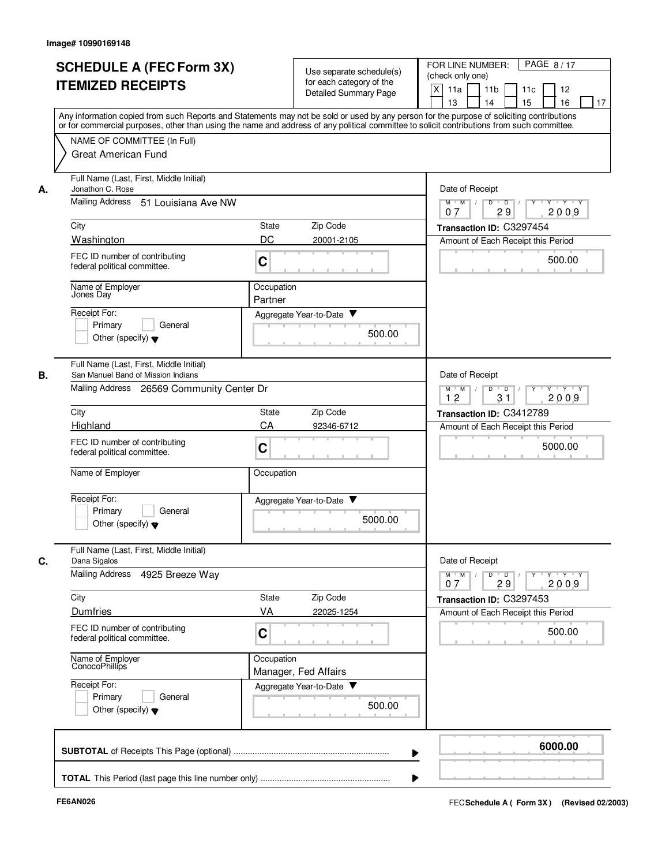| Any information copied from such Reports and Statements may not be sold or used by any person for the purpose of soliciting contributions<br>or for commercial purposes, other than using the name and address of any political committee to solicit contributions from such committee.<br>NAME OF COMMITTEE (In Full)<br>Great American Fund<br>Full Name (Last, First, Middle Initial)<br>Jonathon C. Rose<br>Date of Receipt<br>А.<br>Mailing Address<br>51 Louisiana Ave NW<br>$M$ $M$ /<br>D<br>$\overline{D}$<br>29<br>07<br>City<br>Zip Code<br>State<br>Transaction ID: C3297454<br>DC<br>Washington<br>20001-2105<br>Amount of Each Receipt this Period<br>FEC ID number of contributing<br>C<br>federal political committee.<br>Name of Employer<br>Occupation<br>Jones Day<br>Partner<br>Receipt For:<br>Aggregate Year-to-Date ▼<br>Primary<br>General<br>500.00<br>Other (specify) $\blacktriangledown$<br>Full Name (Last, First, Middle Initial)<br>В.<br>San Manuel Band of Mission Indians<br>Date of Receipt<br>Mailing Address 26569 Community Center Dr<br>D<br>$M$ M<br>$\overline{D}$<br>$\sqrt{ }$<br>12<br>31<br>City<br>Zip Code<br>State<br>Transaction ID: C3412789<br>CA<br>Highland<br>92346-6712<br>FEC ID number of contributing<br>C<br>federal political committee.<br>Name of Employer<br>Occupation<br>Receipt For:<br>Aggregate Year-to-Date ▼<br>Primary<br>General<br>5000.00<br>Other (specify) $\blacktriangledown$<br>Full Name (Last, First, Middle Initial)<br>Date of Receipt<br>C.<br>Dana Sigalos<br>Mailing Address 4925 Breeze Way<br>$M$ $M$ /<br>$\overline{D}$<br>D<br>29<br>07<br>City<br>State<br>Zip Code<br><b>Dumfries</b><br>VA<br>22025-1254<br>Amount of Each Receipt this Period<br>FEC ID number of contributing<br>C<br>federal political committee.<br>Name of Employer<br>ConocoPhillips<br>Occupation<br>Manager, Fed Affairs<br>Receipt For:<br>Aggregate Year-to-Date<br>Primary<br>General<br>500.00<br>Other (specify) $\blacktriangledown$ | 12<br>16<br>17                                   | PAGE 8/17<br>FOR LINE NUMBER:<br>(check only one)<br>$\times$<br>11a<br>11 <sub>b</sub><br>11c<br>13<br>14<br>15 | Use separate schedule(s)<br>for each category of the<br><b>Detailed Summary Page</b> | <b>SCHEDULE A (FEC Form 3X)</b><br><b>ITEMIZED RECEIPTS</b> |  |
|------------------------------------------------------------------------------------------------------------------------------------------------------------------------------------------------------------------------------------------------------------------------------------------------------------------------------------------------------------------------------------------------------------------------------------------------------------------------------------------------------------------------------------------------------------------------------------------------------------------------------------------------------------------------------------------------------------------------------------------------------------------------------------------------------------------------------------------------------------------------------------------------------------------------------------------------------------------------------------------------------------------------------------------------------------------------------------------------------------------------------------------------------------------------------------------------------------------------------------------------------------------------------------------------------------------------------------------------------------------------------------------------------------------------------------------------------------------------------------------------------------------------------------------------------------------------------------------------------------------------------------------------------------------------------------------------------------------------------------------------------------------------------------------------------------------------------------------------------------------------------------------------------------------------------------------------------------------------------------------------------------------|--------------------------------------------------|------------------------------------------------------------------------------------------------------------------|--------------------------------------------------------------------------------------|-------------------------------------------------------------|--|
|                                                                                                                                                                                                                                                                                                                                                                                                                                                                                                                                                                                                                                                                                                                                                                                                                                                                                                                                                                                                                                                                                                                                                                                                                                                                                                                                                                                                                                                                                                                                                                                                                                                                                                                                                                                                                                                                                                                                                                                                                  |                                                  |                                                                                                                  |                                                                                      |                                                             |  |
|                                                                                                                                                                                                                                                                                                                                                                                                                                                                                                                                                                                                                                                                                                                                                                                                                                                                                                                                                                                                                                                                                                                                                                                                                                                                                                                                                                                                                                                                                                                                                                                                                                                                                                                                                                                                                                                                                                                                                                                                                  | Y Y Y Y                                          |                                                                                                                  |                                                                                      |                                                             |  |
|                                                                                                                                                                                                                                                                                                                                                                                                                                                                                                                                                                                                                                                                                                                                                                                                                                                                                                                                                                                                                                                                                                                                                                                                                                                                                                                                                                                                                                                                                                                                                                                                                                                                                                                                                                                                                                                                                                                                                                                                                  | 2009                                             |                                                                                                                  |                                                                                      |                                                             |  |
|                                                                                                                                                                                                                                                                                                                                                                                                                                                                                                                                                                                                                                                                                                                                                                                                                                                                                                                                                                                                                                                                                                                                                                                                                                                                                                                                                                                                                                                                                                                                                                                                                                                                                                                                                                                                                                                                                                                                                                                                                  |                                                  |                                                                                                                  |                                                                                      |                                                             |  |
|                                                                                                                                                                                                                                                                                                                                                                                                                                                                                                                                                                                                                                                                                                                                                                                                                                                                                                                                                                                                                                                                                                                                                                                                                                                                                                                                                                                                                                                                                                                                                                                                                                                                                                                                                                                                                                                                                                                                                                                                                  | 500.00                                           |                                                                                                                  |                                                                                      |                                                             |  |
|                                                                                                                                                                                                                                                                                                                                                                                                                                                                                                                                                                                                                                                                                                                                                                                                                                                                                                                                                                                                                                                                                                                                                                                                                                                                                                                                                                                                                                                                                                                                                                                                                                                                                                                                                                                                                                                                                                                                                                                                                  |                                                  |                                                                                                                  |                                                                                      |                                                             |  |
|                                                                                                                                                                                                                                                                                                                                                                                                                                                                                                                                                                                                                                                                                                                                                                                                                                                                                                                                                                                                                                                                                                                                                                                                                                                                                                                                                                                                                                                                                                                                                                                                                                                                                                                                                                                                                                                                                                                                                                                                                  |                                                  |                                                                                                                  |                                                                                      |                                                             |  |
|                                                                                                                                                                                                                                                                                                                                                                                                                                                                                                                                                                                                                                                                                                                                                                                                                                                                                                                                                                                                                                                                                                                                                                                                                                                                                                                                                                                                                                                                                                                                                                                                                                                                                                                                                                                                                                                                                                                                                                                                                  | $Y \vdash Y \vdash Y$                            |                                                                                                                  |                                                                                      |                                                             |  |
|                                                                                                                                                                                                                                                                                                                                                                                                                                                                                                                                                                                                                                                                                                                                                                                                                                                                                                                                                                                                                                                                                                                                                                                                                                                                                                                                                                                                                                                                                                                                                                                                                                                                                                                                                                                                                                                                                                                                                                                                                  | 2009                                             |                                                                                                                  |                                                                                      |                                                             |  |
|                                                                                                                                                                                                                                                                                                                                                                                                                                                                                                                                                                                                                                                                                                                                                                                                                                                                                                                                                                                                                                                                                                                                                                                                                                                                                                                                                                                                                                                                                                                                                                                                                                                                                                                                                                                                                                                                                                                                                                                                                  |                                                  | Amount of Each Receipt this Period                                                                               |                                                                                      |                                                             |  |
|                                                                                                                                                                                                                                                                                                                                                                                                                                                                                                                                                                                                                                                                                                                                                                                                                                                                                                                                                                                                                                                                                                                                                                                                                                                                                                                                                                                                                                                                                                                                                                                                                                                                                                                                                                                                                                                                                                                                                                                                                  | 5000.00                                          |                                                                                                                  |                                                                                      |                                                             |  |
|                                                                                                                                                                                                                                                                                                                                                                                                                                                                                                                                                                                                                                                                                                                                                                                                                                                                                                                                                                                                                                                                                                                                                                                                                                                                                                                                                                                                                                                                                                                                                                                                                                                                                                                                                                                                                                                                                                                                                                                                                  |                                                  |                                                                                                                  |                                                                                      |                                                             |  |
|                                                                                                                                                                                                                                                                                                                                                                                                                                                                                                                                                                                                                                                                                                                                                                                                                                                                                                                                                                                                                                                                                                                                                                                                                                                                                                                                                                                                                                                                                                                                                                                                                                                                                                                                                                                                                                                                                                                                                                                                                  |                                                  |                                                                                                                  |                                                                                      |                                                             |  |
|                                                                                                                                                                                                                                                                                                                                                                                                                                                                                                                                                                                                                                                                                                                                                                                                                                                                                                                                                                                                                                                                                                                                                                                                                                                                                                                                                                                                                                                                                                                                                                                                                                                                                                                                                                                                                                                                                                                                                                                                                  | $\mathsf{Y} \dashv \mathsf{Y} \dashv \mathsf{Y}$ | $Y$ <sup>U</sup>                                                                                                 |                                                                                      |                                                             |  |
|                                                                                                                                                                                                                                                                                                                                                                                                                                                                                                                                                                                                                                                                                                                                                                                                                                                                                                                                                                                                                                                                                                                                                                                                                                                                                                                                                                                                                                                                                                                                                                                                                                                                                                                                                                                                                                                                                                                                                                                                                  | 2009                                             |                                                                                                                  |                                                                                      |                                                             |  |
|                                                                                                                                                                                                                                                                                                                                                                                                                                                                                                                                                                                                                                                                                                                                                                                                                                                                                                                                                                                                                                                                                                                                                                                                                                                                                                                                                                                                                                                                                                                                                                                                                                                                                                                                                                                                                                                                                                                                                                                                                  |                                                  | Transaction ID: C3297453                                                                                         |                                                                                      |                                                             |  |
|                                                                                                                                                                                                                                                                                                                                                                                                                                                                                                                                                                                                                                                                                                                                                                                                                                                                                                                                                                                                                                                                                                                                                                                                                                                                                                                                                                                                                                                                                                                                                                                                                                                                                                                                                                                                                                                                                                                                                                                                                  | 500.00                                           |                                                                                                                  |                                                                                      |                                                             |  |
|                                                                                                                                                                                                                                                                                                                                                                                                                                                                                                                                                                                                                                                                                                                                                                                                                                                                                                                                                                                                                                                                                                                                                                                                                                                                                                                                                                                                                                                                                                                                                                                                                                                                                                                                                                                                                                                                                                                                                                                                                  |                                                  |                                                                                                                  |                                                                                      |                                                             |  |
|                                                                                                                                                                                                                                                                                                                                                                                                                                                                                                                                                                                                                                                                                                                                                                                                                                                                                                                                                                                                                                                                                                                                                                                                                                                                                                                                                                                                                                                                                                                                                                                                                                                                                                                                                                                                                                                                                                                                                                                                                  |                                                  |                                                                                                                  |                                                                                      |                                                             |  |
|                                                                                                                                                                                                                                                                                                                                                                                                                                                                                                                                                                                                                                                                                                                                                                                                                                                                                                                                                                                                                                                                                                                                                                                                                                                                                                                                                                                                                                                                                                                                                                                                                                                                                                                                                                                                                                                                                                                                                                                                                  | 6000.00                                          |                                                                                                                  |                                                                                      |                                                             |  |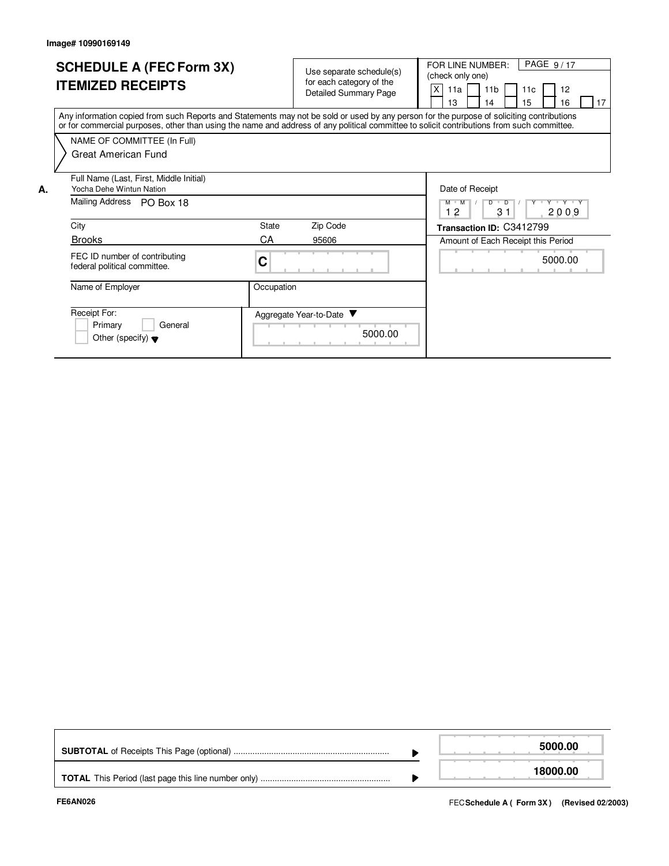**A.**

| <b>SCHEDULE A (FEC Form 3X)</b><br><b>ITEMIZED RECEIPTS</b>                                                                                                                                                                                                                             | Use separate schedule(s)<br>for each category of the<br><b>Detailed Summary Page</b> | PAGE 9/17<br>FOR LINE NUMBER:<br>(check only one)<br>X<br>11 <sub>b</sub><br>11c<br>12<br>11a<br>13<br>15<br>16<br>17<br>14 |
|-----------------------------------------------------------------------------------------------------------------------------------------------------------------------------------------------------------------------------------------------------------------------------------------|--------------------------------------------------------------------------------------|-----------------------------------------------------------------------------------------------------------------------------|
| Any information copied from such Reports and Statements may not be sold or used by any person for the purpose of soliciting contributions<br>or for commercial purposes, other than using the name and address of any political committee to solicit contributions from such committee. |                                                                                      |                                                                                                                             |
| NAME OF COMMITTEE (In Full)                                                                                                                                                                                                                                                             |                                                                                      |                                                                                                                             |
| Great American Fund                                                                                                                                                                                                                                                                     |                                                                                      |                                                                                                                             |
| Full Name (Last, First, Middle Initial)<br>Yocha Dehe Wintun Nation                                                                                                                                                                                                                     |                                                                                      | Date of Receipt                                                                                                             |
| Mailing Address<br>PO Box 18                                                                                                                                                                                                                                                            |                                                                                      | Y Y Y Y Y<br>$M$ $M$<br>D<br>D<br>12<br>3 <sub>1</sub><br>2009                                                              |
| City                                                                                                                                                                                                                                                                                    | Zip Code<br>State                                                                    | Transaction ID: C3412799                                                                                                    |
| <b>Brooks</b>                                                                                                                                                                                                                                                                           | CA<br>95606                                                                          | Amount of Each Receipt this Period                                                                                          |
| FEC ID number of contributing<br>federal political committee.                                                                                                                                                                                                                           | C                                                                                    | 5000.00                                                                                                                     |
| Name of Employer                                                                                                                                                                                                                                                                        | Occupation                                                                           |                                                                                                                             |
| Receipt For:<br>Primary<br>General<br>Other (specify) $\blacktriangledown$                                                                                                                                                                                                              | Aggregate Year-to-Date ▼<br>5000.00                                                  |                                                                                                                             |

|  | 5000.00  |
|--|----------|
|  | 18000.00 |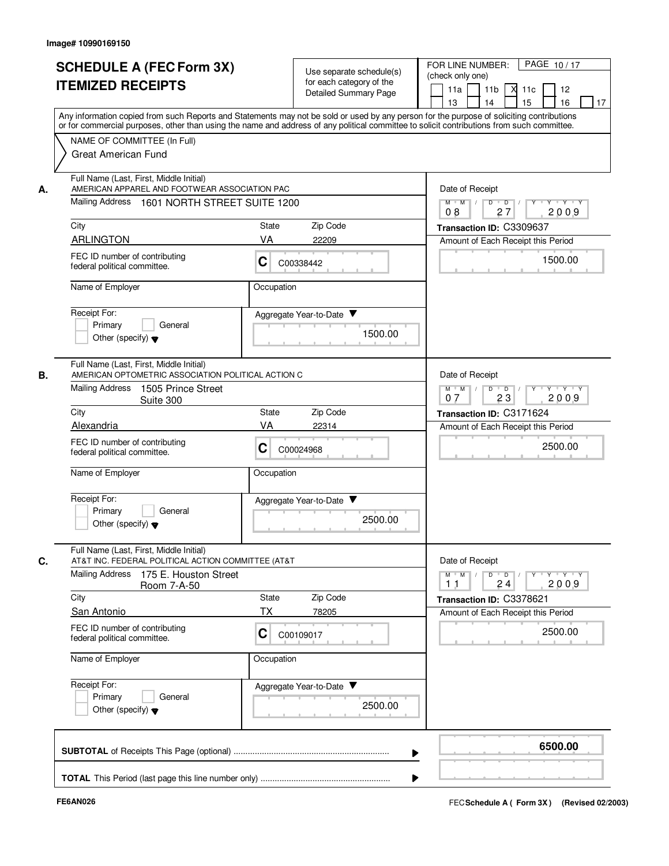|    | <b>SCHEDULE A (FEC Form 3X)</b>                                                                                                            |            | Use separate schedule(s) | PAGE 10/17<br>FOR LINE NUMBER:<br>(check only one)                                |
|----|--------------------------------------------------------------------------------------------------------------------------------------------|------------|--------------------------|-----------------------------------------------------------------------------------|
|    | <b>ITEMIZED RECEIPTS</b>                                                                                                                   |            | for each category of the | 11 <sub>b</sub><br>12                                                             |
|    |                                                                                                                                            |            | Detailed Summary Page    | 11a<br>м<br>11c<br>13<br>14<br>15<br>16<br>17                                     |
|    | Any information copied from such Reports and Statements may not be sold or used by any person for the purpose of soliciting contributions  |            |                          |                                                                                   |
|    | or for commercial purposes, other than using the name and address of any political committee to solicit contributions from such committee. |            |                          |                                                                                   |
|    | NAME OF COMMITTEE (In Full)                                                                                                                |            |                          |                                                                                   |
|    | Great American Fund                                                                                                                        |            |                          |                                                                                   |
|    |                                                                                                                                            |            |                          |                                                                                   |
|    | Full Name (Last, First, Middle Initial)                                                                                                    |            |                          |                                                                                   |
| А. | AMERICAN APPAREL AND FOOTWEAR ASSOCIATION PAC                                                                                              |            |                          | Date of Receipt                                                                   |
|    | Mailing Address 1601 NORTH STREET SUITE 1200                                                                                               |            |                          | Y Y Y Y<br>$M$ $M$ /<br>D<br>$\overline{D}$                                       |
|    |                                                                                                                                            |            |                          | 08<br>27<br>2009                                                                  |
|    | City                                                                                                                                       | State      | Zip Code                 | Transaction ID: C3309637                                                          |
|    | <b>ARLINGTON</b>                                                                                                                           | VA         | 22209                    | Amount of Each Receipt this Period                                                |
|    | FEC ID number of contributing                                                                                                              |            |                          | 1500.00                                                                           |
|    | federal political committee.                                                                                                               | C          | C00338442                |                                                                                   |
|    |                                                                                                                                            |            |                          |                                                                                   |
|    | Name of Employer                                                                                                                           | Occupation |                          |                                                                                   |
|    |                                                                                                                                            |            |                          |                                                                                   |
|    | Receipt For:<br>General                                                                                                                    |            | Aggregate Year-to-Date   |                                                                                   |
|    | Primary<br>Other (specify) $\blacktriangledown$                                                                                            |            | 1500.00                  |                                                                                   |
|    |                                                                                                                                            |            |                          |                                                                                   |
|    |                                                                                                                                            |            |                          |                                                                                   |
| В. | Full Name (Last, First, Middle Initial)<br>AMERICAN OPTOMETRIC ASSOCIATION POLITICAL ACTION C                                              |            |                          | Date of Receipt                                                                   |
|    | <b>Mailing Address</b><br>1505 Prince Street                                                                                               |            |                          | $D$ $D$ $I$<br>$Y \vdash Y \vdash Y$<br>$M$ $M$ /                                 |
|    | Suite 300                                                                                                                                  |            |                          | 23<br>2009<br>07                                                                  |
|    | City                                                                                                                                       | State      | Zip Code                 | Transaction ID: C3171624                                                          |
|    | Alexandria                                                                                                                                 | VA         | 22314                    | Amount of Each Receipt this Period                                                |
|    |                                                                                                                                            |            |                          |                                                                                   |
|    | FEC ID number of contributing<br>federal political committee.                                                                              | С          | C00024968                | 2500.00                                                                           |
|    |                                                                                                                                            |            |                          |                                                                                   |
|    | Name of Employer                                                                                                                           | Occupation |                          |                                                                                   |
|    |                                                                                                                                            |            |                          |                                                                                   |
|    | Receipt For:                                                                                                                               |            | Aggregate Year-to-Date   |                                                                                   |
|    | Primary<br>General                                                                                                                         |            | 2500.00                  |                                                                                   |
|    | Other (specify) $\blacktriangledown$                                                                                                       |            |                          |                                                                                   |
|    |                                                                                                                                            |            |                          |                                                                                   |
| C. | Full Name (Last, First, Middle Initial)<br>AT&T INC. FEDERAL POLITICAL ACTION COMMITTEE (AT&T                                              |            |                          | Date of Receipt                                                                   |
|    | Mailing Address<br>175 E. Houston Street                                                                                                   |            |                          | $M$ $M$ $M$<br>$D$ $D$ $I$<br>$Y - Y - Y - Y$<br>$Y$ <sup><math>\top</math></sup> |
|    | Room 7-A-50                                                                                                                                |            |                          | 2009<br>11<br>24                                                                  |
|    | City                                                                                                                                       | State      | Zip Code                 | Transaction ID: C3378621                                                          |
|    | <b>San Antonio</b>                                                                                                                         | ТX         | 78205                    | Amount of Each Receipt this Period                                                |
|    |                                                                                                                                            |            |                          |                                                                                   |
|    | FEC ID number of contributing<br>federal political committee.                                                                              | С          | C00109017                | 2500.00                                                                           |
|    |                                                                                                                                            |            |                          |                                                                                   |
|    | Name of Employer                                                                                                                           | Occupation |                          |                                                                                   |
|    |                                                                                                                                            |            |                          |                                                                                   |
|    | Receipt For:                                                                                                                               |            | Aggregate Year-to-Date   |                                                                                   |
|    | Primary<br>General                                                                                                                         |            | 2500.00                  |                                                                                   |
|    | Other (specify) $\blacktriangledown$                                                                                                       |            |                          |                                                                                   |
|    |                                                                                                                                            |            |                          |                                                                                   |
|    |                                                                                                                                            |            |                          | 6500.00                                                                           |
|    |                                                                                                                                            |            |                          |                                                                                   |
|    |                                                                                                                                            |            |                          |                                                                                   |
|    |                                                                                                                                            |            |                          |                                                                                   |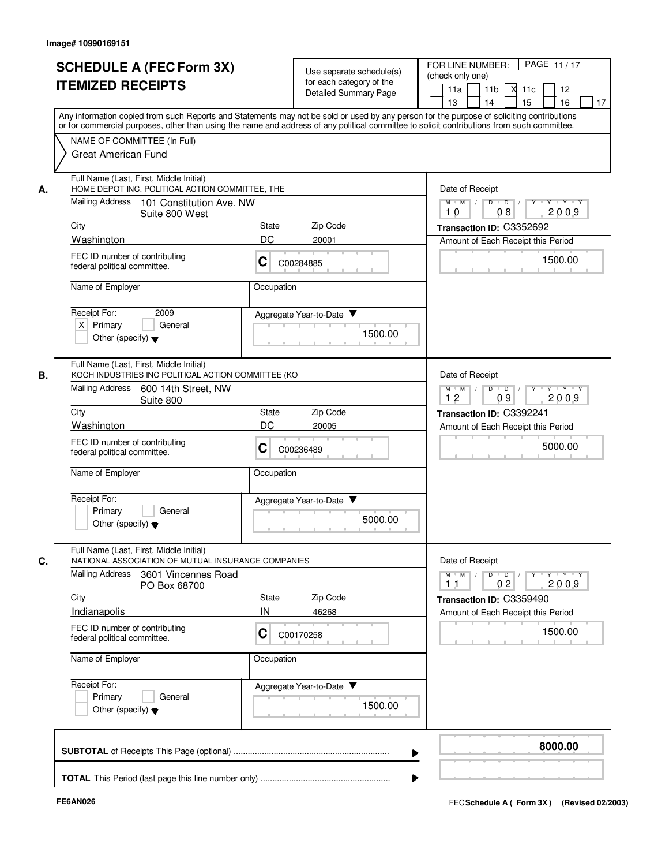| <b>SCHEDULE A (FEC Form 3X)</b><br><b>ITEMIZED RECEIPTS</b>                                         | Use separate schedule(s)<br>for each category of the<br>Detailed Summary Page                                                                                                                                                                                                           | PAGE 11/17<br>FOR LINE NUMBER:<br>(check only one)<br>11a<br>11 <sub>b</sub><br>$X$ 11 $c$<br>12<br>15<br>16<br>13<br>14<br>17 |  |
|-----------------------------------------------------------------------------------------------------|-----------------------------------------------------------------------------------------------------------------------------------------------------------------------------------------------------------------------------------------------------------------------------------------|--------------------------------------------------------------------------------------------------------------------------------|--|
| NAME OF COMMITTEE (In Full)                                                                         | Any information copied from such Reports and Statements may not be sold or used by any person for the purpose of soliciting contributions<br>or for commercial purposes, other than using the name and address of any political committee to solicit contributions from such committee. |                                                                                                                                |  |
| <b>Great American Fund</b>                                                                          |                                                                                                                                                                                                                                                                                         |                                                                                                                                |  |
| Full Name (Last, First, Middle Initial)<br>А.                                                       | HOME DEPOT INC. POLITICAL ACTION COMMITTEE. THE                                                                                                                                                                                                                                         |                                                                                                                                |  |
| Mailing Address<br>101 Constitution Ave. NW<br>Suite 800 West                                       |                                                                                                                                                                                                                                                                                         | $M$ $M$<br>$D$ $D$<br>$Y - Y - Y$<br>2009<br>08<br>10                                                                          |  |
| City                                                                                                | Zip Code<br>State                                                                                                                                                                                                                                                                       | Transaction ID: C3352692                                                                                                       |  |
| Washington<br>FEC ID number of contributing<br>federal political committee.                         | DC<br>20001<br>C<br>C00284885                                                                                                                                                                                                                                                           | Amount of Each Receipt this Period<br>1500.00                                                                                  |  |
| Name of Employer                                                                                    | Occupation                                                                                                                                                                                                                                                                              |                                                                                                                                |  |
| Receipt For:<br>2009<br>$X$ Primary<br>General<br>Other (specify) $\blacktriangledown$              | Aggregate Year-to-Date<br>1500.00                                                                                                                                                                                                                                                       |                                                                                                                                |  |
| Full Name (Last, First, Middle Initial)<br>В.<br>KOCH INDUSTRIES INC POLITICAL ACTION COMMITTEE (KO |                                                                                                                                                                                                                                                                                         | Date of Receipt                                                                                                                |  |
| <b>Mailing Address</b><br>600 14th Street, NW<br>Suite 800                                          |                                                                                                                                                                                                                                                                                         | $M$ M<br>D<br>$\overline{D}$<br>$\cdots$ Y $\cdots$ Y<br>2009<br>12<br>09                                                      |  |
| City                                                                                                | Zip Code<br>State<br>DC                                                                                                                                                                                                                                                                 | Transaction ID: C3392241                                                                                                       |  |
| Washington<br>FEC ID number of contributing<br>federal political committee.                         | 20005<br>C<br>C00236489                                                                                                                                                                                                                                                                 | Amount of Each Receipt this Period<br>5000.00                                                                                  |  |
| Name of Employer                                                                                    | Occupation                                                                                                                                                                                                                                                                              |                                                                                                                                |  |
| Receipt For:<br>Primary<br>General<br>Other (specify) $\blacktriangledown$                          | Aggregate Year-to-Date<br>5000.00                                                                                                                                                                                                                                                       |                                                                                                                                |  |
| Full Name (Last, First, Middle Initial)<br>NATIONAL ASSOCIATION OF MUTUAL INSURANCE COMPANIES<br>C. |                                                                                                                                                                                                                                                                                         | Date of Receipt                                                                                                                |  |
| Mailing Address<br>3601 Vincennes Road<br>PO Box 68700                                              |                                                                                                                                                                                                                                                                                         | $Y + Y + Y$<br>$M$ $M$<br>02<br>2009<br>11                                                                                     |  |
| City<br>Indianapolis                                                                                | Zip Code<br>State<br>IN<br>46268                                                                                                                                                                                                                                                        | Transaction ID: C3359490<br>Amount of Each Receipt this Period                                                                 |  |
| FEC ID number of contributing<br>federal political committee.                                       | С<br>C00170258                                                                                                                                                                                                                                                                          | 1500.00                                                                                                                        |  |
| Name of Employer                                                                                    | Occupation                                                                                                                                                                                                                                                                              |                                                                                                                                |  |
| Receipt For:<br>Primary<br>General<br>Other (specify) $\blacktriangledown$                          | Aggregate Year-to-Date<br>1500.00                                                                                                                                                                                                                                                       |                                                                                                                                |  |
|                                                                                                     |                                                                                                                                                                                                                                                                                         | 8000.00                                                                                                                        |  |
|                                                                                                     |                                                                                                                                                                                                                                                                                         |                                                                                                                                |  |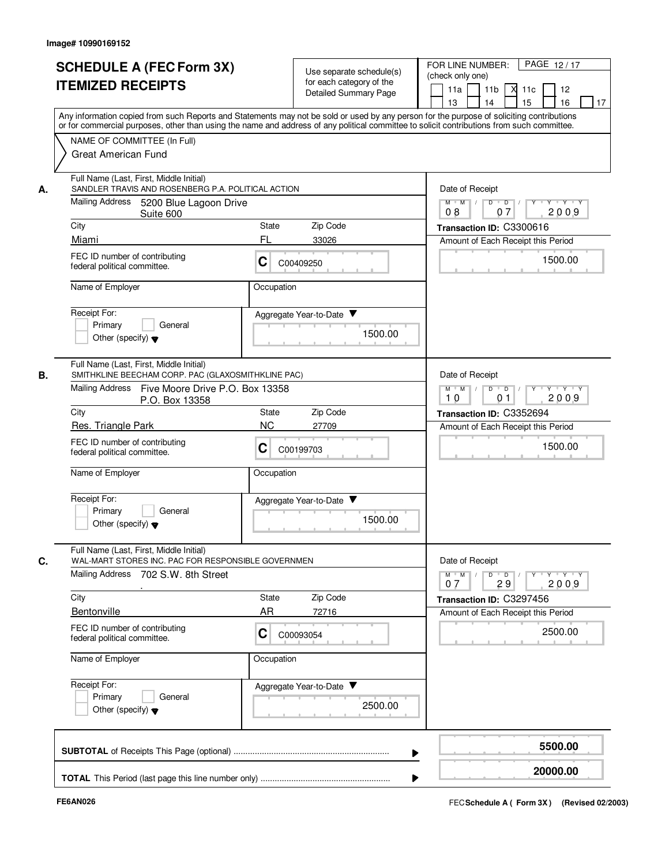| <b>SCHEDULE A (FEC Form 3X)</b><br><b>ITEMIZED RECEIPTS</b>                                                                                                                                                                                                                                                                                                                  | Use separate schedule(s)<br>for each category of the<br><b>Detailed Summary Page</b>                                                                                                                                                                                                    | PAGE 12/17<br>FOR LINE NUMBER:<br>(check only one)<br>11a<br>11 <sub>b</sub><br>$X$ 11 $c$<br>12<br>15<br>16<br>13<br>14<br>17                                                        |
|------------------------------------------------------------------------------------------------------------------------------------------------------------------------------------------------------------------------------------------------------------------------------------------------------------------------------------------------------------------------------|-----------------------------------------------------------------------------------------------------------------------------------------------------------------------------------------------------------------------------------------------------------------------------------------|---------------------------------------------------------------------------------------------------------------------------------------------------------------------------------------|
| NAME OF COMMITTEE (In Full)<br><b>Great American Fund</b>                                                                                                                                                                                                                                                                                                                    | Any information copied from such Reports and Statements may not be sold or used by any person for the purpose of soliciting contributions<br>or for commercial purposes, other than using the name and address of any political committee to solicit contributions from such committee. |                                                                                                                                                                                       |
| Full Name (Last, First, Middle Initial)<br>SANDLER TRAVIS AND ROSENBERG P.A. POLITICAL ACTION<br>А.<br>Mailing Address<br>5200 Blue Lagoon Drive<br>Suite 600<br>City<br>Miami<br>FEC ID number of contributing<br>federal political committee.                                                                                                                              | State<br>Zip Code<br>FL<br>33026<br>С<br>C00409250                                                                                                                                                                                                                                      | Date of Receipt<br>$M$ $M$<br>$D$ $D$<br>$Y - Y - Y$<br>2009<br>07<br>08<br>Transaction ID: C3300616<br>Amount of Each Receipt this Period<br>1500.00                                 |
| Name of Employer<br>Receipt For:<br>Primary<br>General<br>Other (specify) $\blacktriangledown$                                                                                                                                                                                                                                                                               | Occupation<br>Aggregate Year-to-Date<br>1500.00                                                                                                                                                                                                                                         |                                                                                                                                                                                       |
| Full Name (Last, First, Middle Initial)<br>В.<br>SMITHKLINE BEECHAM CORP. PAC (GLAXOSMITHKLINE PAC)<br>Mailing Address<br>Five Moore Drive P.O. Box 13358<br>P.O. Box 13358<br>City<br>Res. Triangle Park<br>FEC ID number of contributing<br>federal political committee.<br>Name of Employer<br>Receipt For:<br>Primary<br>General<br>Other (specify) $\blacktriangledown$ | Zip Code<br><b>State</b><br><b>NC</b><br>27709<br>C<br>C00199703<br>Occupation<br>Aggregate Year-to-Date ▼<br>1500.00                                                                                                                                                                   | Date of Receipt<br>$M$ M<br>D<br>$\overline{D}$<br>$\sqrt{ }$<br>Y Y Y Y<br>2009<br>10<br>0 <sub>1</sub><br>Transaction ID: C3352694<br>Amount of Each Receipt this Period<br>1500.00 |
| Full Name (Last, First, Middle Initial)<br>WAL-MART STORES INC. PAC FOR RESPONSIBLE GOVERNMEN<br>C.<br>Mailing Address 702 S.W. 8th Street<br>City<br>Bentonville<br>FEC ID number of contributing<br>federal political committee.<br>Name of Employer<br>Receipt For:<br>Primary<br>General<br>Other (specify) $\blacktriangledown$                                         | State<br>Zip Code<br>AR<br>72716<br>С<br>C00093054<br>Occupation<br>Aggregate Year-to-Date<br>2500.00                                                                                                                                                                                   | Date of Receipt<br>$Y + Y + Y$<br>$M$ $M$<br>$D$ $D$ $I$<br>$\Gamma Y$<br>29<br>2009<br>07<br>Transaction ID: C3297456<br>Amount of Each Receipt this Period<br>2500.00               |
|                                                                                                                                                                                                                                                                                                                                                                              |                                                                                                                                                                                                                                                                                         | 5500.00                                                                                                                                                                               |
|                                                                                                                                                                                                                                                                                                                                                                              |                                                                                                                                                                                                                                                                                         | 20000.00                                                                                                                                                                              |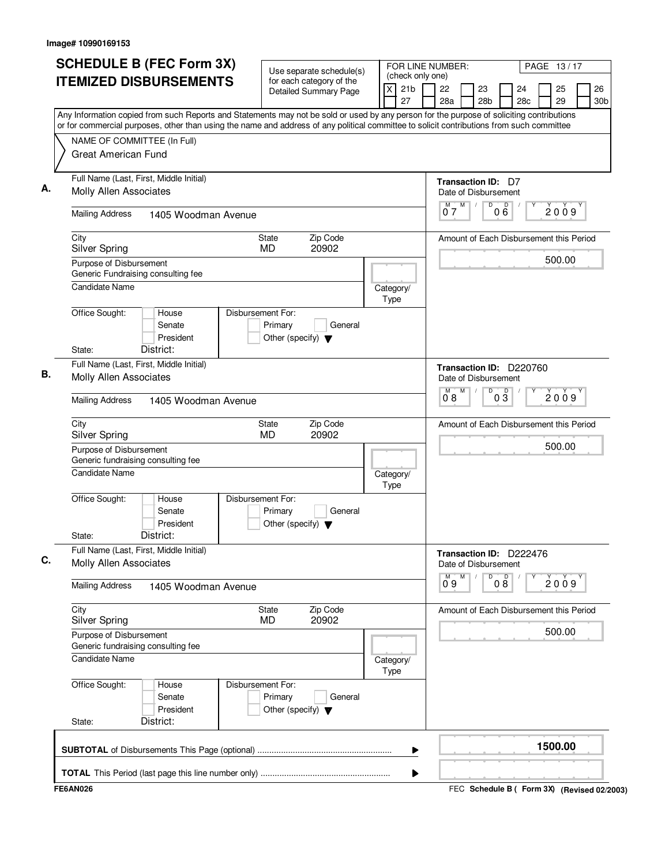| <b>SCHEDULE B (FEC Form 3X)</b>                                                                                                                                                                                                                                                                                       | Use separate schedule(s)                                                        |                   |                       | FOR LINE NUMBER:<br>PAGE 13/17<br>(check only one) |   |                                                 |                 |           |  |          |  |                       |  |  |
|-----------------------------------------------------------------------------------------------------------------------------------------------------------------------------------------------------------------------------------------------------------------------------------------------------------------------|---------------------------------------------------------------------------------|-------------------|-----------------------|----------------------------------------------------|---|-------------------------------------------------|-----------------|-----------|--|----------|--|-----------------------|--|--|
| <b>ITEMIZED DISBURSEMENTS</b>                                                                                                                                                                                                                                                                                         | for each category of the<br><b>Detailed Summary Page</b>                        | X                 | 21 <sub>b</sub><br>27 | 22<br>28a                                          |   | 23<br>28 <sub>b</sub>                           |                 | 24<br>28c |  | 25<br>29 |  | 26<br>30 <sub>b</sub> |  |  |
| Any Information copied from such Reports and Statements may not be sold or used by any person for the purpose of soliciting contributions<br>or for commercial purposes, other than using the name and address of any political committee to solicit contributions from such committee<br>NAME OF COMMITTEE (In Full) |                                                                                 |                   |                       |                                                    |   |                                                 |                 |           |  |          |  |                       |  |  |
| <b>Great American Fund</b>                                                                                                                                                                                                                                                                                            |                                                                                 |                   |                       |                                                    |   |                                                 |                 |           |  |          |  |                       |  |  |
| Full Name (Last, First, Middle Initial)<br><b>Molly Allen Associates</b>                                                                                                                                                                                                                                              |                                                                                 |                   |                       |                                                    |   | Transaction ID: D7<br>Date of Disbursement      |                 |           |  |          |  |                       |  |  |
| <b>Mailing Address</b><br>1405 Woodman Avenue                                                                                                                                                                                                                                                                         |                                                                                 |                   |                       | 07                                                 | M | D                                               | 000             |           |  | 2009     |  |                       |  |  |
| City<br><b>Silver Spring</b>                                                                                                                                                                                                                                                                                          | Zip Code<br>State<br><b>MD</b><br>20902                                         |                   |                       |                                                    |   | Amount of Each Disbursement this Period         |                 |           |  |          |  |                       |  |  |
| Purpose of Disbursement<br>Generic Fundraising consulting fee                                                                                                                                                                                                                                                         |                                                                                 |                   |                       |                                                    |   |                                                 |                 |           |  | 500.00   |  |                       |  |  |
| <b>Candidate Name</b>                                                                                                                                                                                                                                                                                                 |                                                                                 | Category/<br>Type |                       |                                                    |   |                                                 |                 |           |  |          |  |                       |  |  |
| Office Sought:<br>House<br>Senate<br>President<br>District:<br>State:                                                                                                                                                                                                                                                 | Disbursement For:<br>Primary<br>General<br>Other (specify) $\blacktriangledown$ |                   |                       |                                                    |   |                                                 |                 |           |  |          |  |                       |  |  |
| Full Name (Last, First, Middle Initial)<br><b>Molly Allen Associates</b>                                                                                                                                                                                                                                              |                                                                                 |                   |                       |                                                    |   | Transaction ID: D220760<br>Date of Disbursement |                 |           |  |          |  |                       |  |  |
| <b>Mailing Address</b><br>1405 Woodman Avenue                                                                                                                                                                                                                                                                         |                                                                                 |                   |                       | $\overline{0}^{\overline{M}}$                      | M | D                                               | $0\overline{3}$ |           |  | 2009     |  |                       |  |  |
| City<br><b>Silver Spring</b>                                                                                                                                                                                                                                                                                          | Zip Code<br>State<br><b>MD</b><br>20902                                         |                   |                       |                                                    |   | Amount of Each Disbursement this Period         |                 |           |  |          |  |                       |  |  |
| Purpose of Disbursement<br>Generic fundraising consulting fee                                                                                                                                                                                                                                                         |                                                                                 |                   |                       |                                                    |   |                                                 |                 |           |  | 500.00   |  |                       |  |  |
| <b>Candidate Name</b>                                                                                                                                                                                                                                                                                                 |                                                                                 | Category/<br>Type |                       |                                                    |   |                                                 |                 |           |  |          |  |                       |  |  |
| Office Sought:<br>House<br>Senate<br>President<br>District:<br>State:                                                                                                                                                                                                                                                 | Disbursement For:<br>Primary<br>General<br>Other (specify) $\blacktriangledown$ |                   |                       |                                                    |   |                                                 |                 |           |  |          |  |                       |  |  |
| Full Name (Last, First, Middle Initial)<br><b>Molly Allen Associates</b>                                                                                                                                                                                                                                              |                                                                                 |                   |                       |                                                    |   | Transaction ID: D222476<br>Date of Disbursement |                 |           |  |          |  |                       |  |  |
| <b>Mailing Address</b><br>1405 Woodman Avenue                                                                                                                                                                                                                                                                         |                                                                                 |                   |                       | М<br>09                                            | M | D                                               | 08              |           |  | 2009     |  |                       |  |  |
| City<br><b>Silver Spring</b>                                                                                                                                                                                                                                                                                          | Zip Code<br>State<br><b>MD</b><br>20902                                         |                   |                       |                                                    |   | Amount of Each Disbursement this Period         |                 |           |  |          |  |                       |  |  |
| Purpose of Disbursement<br>Generic fundraising consulting fee                                                                                                                                                                                                                                                         |                                                                                 |                   |                       |                                                    |   |                                                 |                 |           |  | 500.00   |  |                       |  |  |
| <b>Candidate Name</b>                                                                                                                                                                                                                                                                                                 |                                                                                 | Category/<br>Type |                       |                                                    |   |                                                 |                 |           |  |          |  |                       |  |  |
| Office Sought:<br>House<br>Senate<br>President<br>District:<br>State:                                                                                                                                                                                                                                                 | Disbursement For:<br>Primary<br>General<br>Other (specify) $\blacktriangledown$ |                   |                       |                                                    |   |                                                 |                 |           |  |          |  |                       |  |  |
|                                                                                                                                                                                                                                                                                                                       |                                                                                 |                   | ▶                     |                                                    |   |                                                 |                 |           |  | 1500.00  |  |                       |  |  |
|                                                                                                                                                                                                                                                                                                                       |                                                                                 |                   | ▶                     |                                                    |   |                                                 |                 |           |  |          |  |                       |  |  |
| <b>FE6AN026</b>                                                                                                                                                                                                                                                                                                       |                                                                                 |                   |                       |                                                    |   | FEC Schedule B ( Form 3X) (Revised 02/2003)     |                 |           |  |          |  |                       |  |  |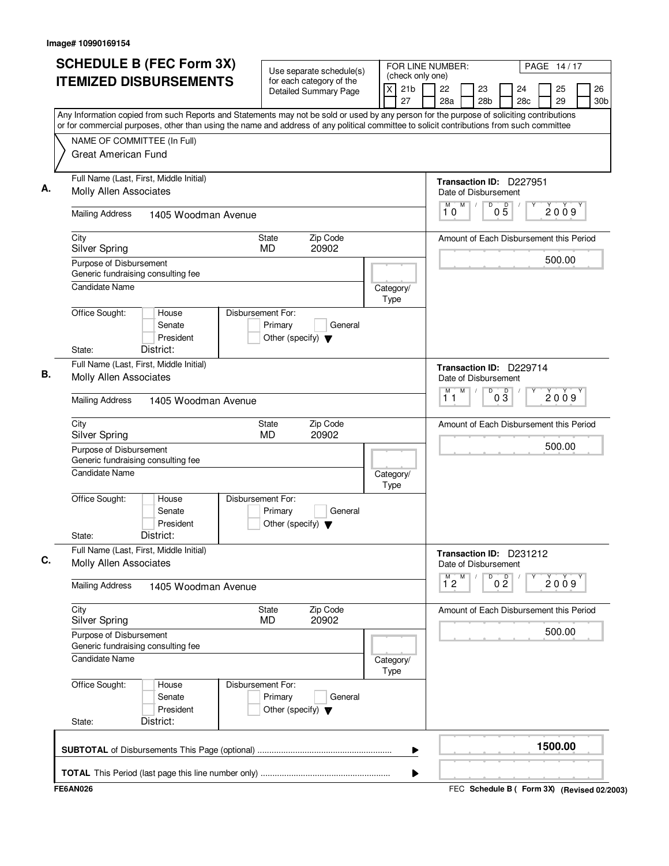| <b>SCHEDULE B (FEC Form 3X)</b>                                                                                                                                                                                                                                                        | Use separate schedule(s)                                                        |                   |                       | FOR LINE NUMBER:<br>PAGE 14/17<br>(check only one) |                     |   |                                                 |                 |           |  |          |      |                       |  |
|----------------------------------------------------------------------------------------------------------------------------------------------------------------------------------------------------------------------------------------------------------------------------------------|---------------------------------------------------------------------------------|-------------------|-----------------------|----------------------------------------------------|---------------------|---|-------------------------------------------------|-----------------|-----------|--|----------|------|-----------------------|--|
| <b>ITEMIZED DISBURSEMENTS</b>                                                                                                                                                                                                                                                          | for each category of the<br><b>Detailed Summary Page</b>                        | X                 | 21 <sub>b</sub><br>27 |                                                    | 22<br>28a           |   | 23<br>28 <sub>b</sub>                           |                 | 24<br>28c |  | 25<br>29 |      | 26<br>30 <sub>b</sub> |  |
| Any Information copied from such Reports and Statements may not be sold or used by any person for the purpose of soliciting contributions<br>or for commercial purposes, other than using the name and address of any political committee to solicit contributions from such committee |                                                                                 |                   |                       |                                                    |                     |   |                                                 |                 |           |  |          |      |                       |  |
| NAME OF COMMITTEE (In Full)<br><b>Great American Fund</b>                                                                                                                                                                                                                              |                                                                                 |                   |                       |                                                    |                     |   |                                                 |                 |           |  |          |      |                       |  |
| Full Name (Last, First, Middle Initial)<br><b>Molly Allen Associates</b>                                                                                                                                                                                                               |                                                                                 |                   |                       |                                                    |                     |   | Transaction ID: D227951<br>Date of Disbursement |                 |           |  |          |      |                       |  |
| <b>Mailing Address</b><br>1405 Woodman Avenue                                                                                                                                                                                                                                          |                                                                                 |                   |                       |                                                    | M<br>10             | M | D                                               | $0\overline{5}$ |           |  |          | 2009 |                       |  |
| City<br><b>Silver Spring</b>                                                                                                                                                                                                                                                           | Zip Code<br>State<br><b>MD</b><br>20902                                         |                   |                       |                                                    |                     |   | Amount of Each Disbursement this Period         |                 |           |  |          |      |                       |  |
| Purpose of Disbursement<br>Generic fundraising consulting fee                                                                                                                                                                                                                          |                                                                                 |                   |                       |                                                    |                     |   |                                                 |                 |           |  | 500.00   |      |                       |  |
| <b>Candidate Name</b>                                                                                                                                                                                                                                                                  |                                                                                 | Category/<br>Type |                       |                                                    |                     |   |                                                 |                 |           |  |          |      |                       |  |
| Office Sought:<br>House<br>Senate<br>President<br>District:<br>State:                                                                                                                                                                                                                  | Disbursement For:<br>Primary<br>General<br>Other (specify) $\blacktriangledown$ |                   |                       |                                                    |                     |   |                                                 |                 |           |  |          |      |                       |  |
| Full Name (Last, First, Middle Initial)                                                                                                                                                                                                                                                |                                                                                 |                   |                       |                                                    |                     |   | Transaction ID: D229714                         |                 |           |  |          |      |                       |  |
| <b>Molly Allen Associates</b><br><b>Mailing Address</b><br>1405 Woodman Avenue                                                                                                                                                                                                         |                                                                                 |                   |                       |                                                    | M<br>11             | M | Date of Disbursement<br>D                       | $0\overline{3}$ |           |  | 2009     |      |                       |  |
|                                                                                                                                                                                                                                                                                        |                                                                                 |                   |                       |                                                    |                     |   |                                                 |                 |           |  |          |      |                       |  |
| City<br><b>Silver Spring</b>                                                                                                                                                                                                                                                           | Zip Code<br>State<br><b>MD</b><br>20902                                         |                   |                       |                                                    |                     |   | Amount of Each Disbursement this Period         |                 |           |  |          |      |                       |  |
| Purpose of Disbursement<br>Generic fundraising consulting fee                                                                                                                                                                                                                          |                                                                                 |                   |                       |                                                    |                     |   |                                                 |                 |           |  | 500.00   |      |                       |  |
| <b>Candidate Name</b>                                                                                                                                                                                                                                                                  |                                                                                 | Category/<br>Type |                       |                                                    |                     |   |                                                 |                 |           |  |          |      |                       |  |
| Office Sought:<br>House<br>Senate<br>President<br>District:<br>State:                                                                                                                                                                                                                  | Disbursement For:<br>Primary<br>General<br>Other (specify) $\blacktriangledown$ |                   |                       |                                                    |                     |   |                                                 |                 |           |  |          |      |                       |  |
| Full Name (Last, First, Middle Initial)<br><b>Molly Allen Associates</b>                                                                                                                                                                                                               |                                                                                 |                   |                       |                                                    |                     |   | Transaction ID: D231212<br>Date of Disbursement |                 |           |  |          |      |                       |  |
| <b>Mailing Address</b><br>1405 Woodman Avenue                                                                                                                                                                                                                                          |                                                                                 |                   |                       |                                                    | M<br>$1^{\degree}2$ | M | D                                               | 0 <sup>0</sup>  |           |  |          | 2009 |                       |  |
| City<br><b>Silver Spring</b>                                                                                                                                                                                                                                                           | Zip Code<br>State<br><b>MD</b><br>20902                                         |                   |                       |                                                    |                     |   | Amount of Each Disbursement this Period         |                 |           |  |          |      |                       |  |
| Purpose of Disbursement<br>Generic fundraising consulting fee                                                                                                                                                                                                                          |                                                                                 |                   |                       |                                                    |                     |   |                                                 |                 |           |  | 500.00   |      |                       |  |
| <b>Candidate Name</b>                                                                                                                                                                                                                                                                  |                                                                                 | Category/<br>Type |                       |                                                    |                     |   |                                                 |                 |           |  |          |      |                       |  |
| Office Sought:<br>House<br>Senate<br>President<br>District:<br>State:                                                                                                                                                                                                                  | Disbursement For:<br>Primary<br>General<br>Other (specify) $\blacktriangledown$ |                   |                       |                                                    |                     |   |                                                 |                 |           |  |          |      |                       |  |
|                                                                                                                                                                                                                                                                                        |                                                                                 |                   | ▶                     |                                                    |                     |   |                                                 |                 |           |  | 1500.00  |      |                       |  |
|                                                                                                                                                                                                                                                                                        |                                                                                 |                   | ▶                     |                                                    |                     |   |                                                 |                 |           |  |          |      |                       |  |
| <b>FE6AN026</b>                                                                                                                                                                                                                                                                        |                                                                                 |                   |                       |                                                    |                     |   | FEC Schedule B ( Form 3X) (Revised 02/2003)     |                 |           |  |          |      |                       |  |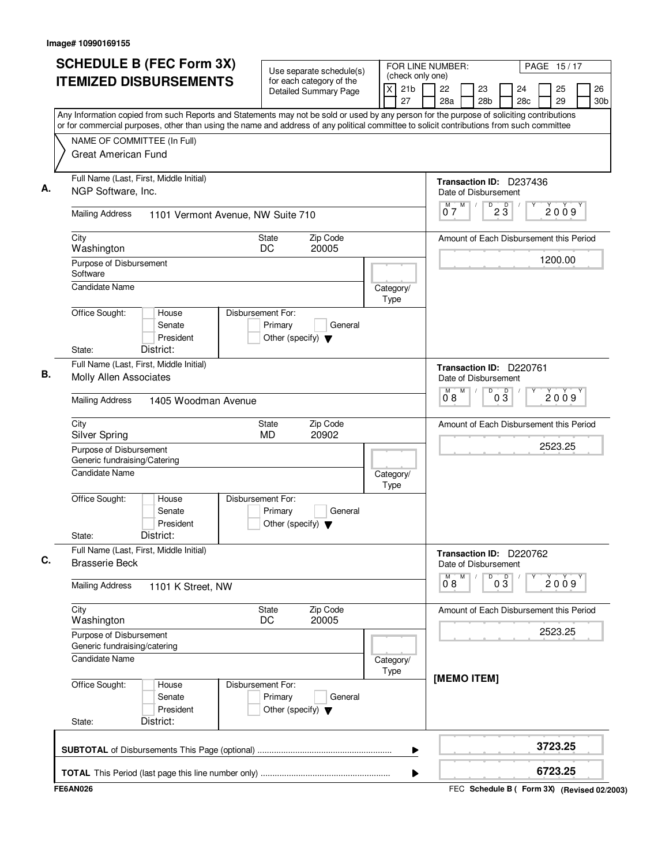| <b>SCHEDULE B (FEC Form 3X)</b>                                                                                                                                                                                                                                                        | Use separate schedule(s)                                                        | FOR LINE NUMBER:                               | PAGE 15/17                                      |                       |           |          |  |                       |
|----------------------------------------------------------------------------------------------------------------------------------------------------------------------------------------------------------------------------------------------------------------------------------------|---------------------------------------------------------------------------------|------------------------------------------------|-------------------------------------------------|-----------------------|-----------|----------|--|-----------------------|
| <b>ITEMIZED DISBURSEMENTS</b>                                                                                                                                                                                                                                                          | for each category of the<br><b>Detailed Summary Page</b>                        | (check only one)<br>21 <sub>b</sub><br>X<br>27 | 22<br>28a                                       | 23<br>28 <sub>b</sub> | 24<br>28c | 25<br>29 |  | 26<br>30 <sub>b</sub> |
| Any Information copied from such Reports and Statements may not be sold or used by any person for the purpose of soliciting contributions<br>or for commercial purposes, other than using the name and address of any political committee to solicit contributions from such committee |                                                                                 |                                                |                                                 |                       |           |          |  |                       |
| NAME OF COMMITTEE (In Full)                                                                                                                                                                                                                                                            |                                                                                 |                                                |                                                 |                       |           |          |  |                       |
| <b>Great American Fund</b>                                                                                                                                                                                                                                                             |                                                                                 |                                                |                                                 |                       |           |          |  |                       |
| Full Name (Last, First, Middle Initial)<br>NGP Software, Inc.                                                                                                                                                                                                                          | Transaction ID: D237436<br>Date of Disbursement                                 |                                                |                                                 |                       |           |          |  |                       |
| <b>Mailing Address</b><br>1101 Vermont Avenue, NW Suite 710                                                                                                                                                                                                                            |                                                                                 |                                                | M<br>$\overline{0}^M$ 7                         | D<br>$2\overline{3}$  |           | 2009     |  |                       |
| City<br>Washington                                                                                                                                                                                                                                                                     | Zip Code<br>State<br>20005<br>DC                                                |                                                | Amount of Each Disbursement this Period         |                       |           |          |  |                       |
| Purpose of Disbursement                                                                                                                                                                                                                                                                |                                                                                 |                                                |                                                 |                       |           | 1200.00  |  |                       |
| Software                                                                                                                                                                                                                                                                               |                                                                                 |                                                |                                                 |                       |           |          |  |                       |
| <b>Candidate Name</b>                                                                                                                                                                                                                                                                  |                                                                                 | Category/<br>Type                              |                                                 |                       |           |          |  |                       |
| Office Sought:<br>House<br>Senate<br>President<br>District:<br>State:                                                                                                                                                                                                                  | Disbursement For:<br>Primary<br>General<br>Other (specify) $\blacktriangledown$ |                                                |                                                 |                       |           |          |  |                       |
| Full Name (Last, First, Middle Initial)                                                                                                                                                                                                                                                |                                                                                 |                                                |                                                 |                       |           |          |  |                       |
| <b>Molly Allen Associates</b>                                                                                                                                                                                                                                                          |                                                                                 |                                                | Transaction ID: D220761<br>Date of Disbursement |                       |           |          |  |                       |
| <b>Mailing Address</b><br>1405 Woodman Avenue                                                                                                                                                                                                                                          |                                                                                 |                                                | M<br>M<br>08                                    | D<br>$0\overline{3}$  |           | 2009     |  |                       |
| City<br><b>Silver Spring</b>                                                                                                                                                                                                                                                           | Zip Code<br>State<br><b>MD</b><br>20902                                         |                                                | Amount of Each Disbursement this Period         |                       |           |          |  |                       |
| Purpose of Disbursement<br>Generic fundraising/Catering                                                                                                                                                                                                                                |                                                                                 |                                                |                                                 |                       | 2523.25   |          |  |                       |
| <b>Candidate Name</b>                                                                                                                                                                                                                                                                  |                                                                                 | Category/<br>Type                              |                                                 |                       |           |          |  |                       |
| Office Sought:<br>House<br>Senate<br>President<br>District:<br>State:                                                                                                                                                                                                                  | Disbursement For:<br>Primary<br>General<br>Other (specify) $\blacktriangledown$ |                                                |                                                 |                       |           |          |  |                       |
| Full Name (Last, First, Middle Initial)<br><b>Brasserie Beck</b>                                                                                                                                                                                                                       |                                                                                 |                                                | Transaction ID: D220762<br>Date of Disbursement |                       |           |          |  |                       |
| <b>Mailing Address</b><br>1101 K Street, NW                                                                                                                                                                                                                                            |                                                                                 |                                                | $\overline{0}^M$ 8<br>M                         | D<br>03               |           | 2009     |  |                       |
| City<br>Washington                                                                                                                                                                                                                                                                     | Zip Code<br>State<br>20005<br>DC                                                |                                                | Amount of Each Disbursement this Period         |                       |           |          |  |                       |
| Purpose of Disbursement<br>Generic fundraising/catering                                                                                                                                                                                                                                |                                                                                 |                                                |                                                 |                       | 2523.25   |          |  |                       |
| <b>Candidate Name</b>                                                                                                                                                                                                                                                                  |                                                                                 | Category/<br>Type                              |                                                 |                       |           |          |  |                       |
| Office Sought:<br>House<br>Senate<br>President<br>District:<br>State:                                                                                                                                                                                                                  | Disbursement For:<br>Primary<br>General<br>Other (specify) $\blacktriangledown$ |                                                | [MEMO ITEM]                                     |                       |           |          |  |                       |
|                                                                                                                                                                                                                                                                                        |                                                                                 | ▶                                              |                                                 |                       |           | 3723.25  |  |                       |
|                                                                                                                                                                                                                                                                                        |                                                                                 |                                                |                                                 |                       |           |          |  |                       |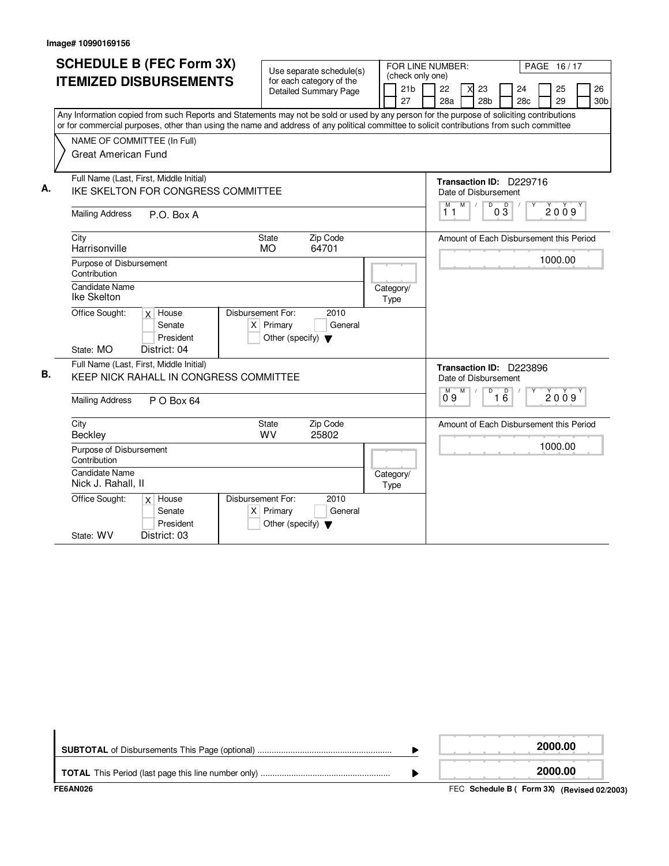|    | <b>SCHEDULE B (FEC Form 3X)</b>                                                                                                           |                                                          |                   |                                                        |
|----|-------------------------------------------------------------------------------------------------------------------------------------------|----------------------------------------------------------|-------------------|--------------------------------------------------------|
|    |                                                                                                                                           | Use separate schedule(s)                                 | (check only one)  | FOR LINE NUMBER:<br>PAGE 16/17                         |
|    | <b>ITEMIZED DISBURSEMENTS</b>                                                                                                             | for each category of the<br><b>Detailed Summary Page</b> | 21 <sub>b</sub>   | 22<br>26<br>23<br>24<br>25<br>X                        |
|    |                                                                                                                                           |                                                          | 27                | 28a<br>28 <sub>b</sub><br>28c<br>29<br>30 <sub>b</sub> |
|    | Any Information copied from such Reports and Statements may not be sold or used by any person for the purpose of soliciting contributions |                                                          |                   |                                                        |
|    | or for commercial purposes, other than using the name and address of any political committee to solicit contributions from such committee |                                                          |                   |                                                        |
|    | NAME OF COMMITTEE (In Full)                                                                                                               |                                                          |                   |                                                        |
|    | <b>Great American Fund</b>                                                                                                                |                                                          |                   |                                                        |
|    |                                                                                                                                           |                                                          |                   |                                                        |
|    | Full Name (Last, First, Middle Initial)                                                                                                   |                                                          |                   | Transaction ID: D229716                                |
| А. | IKE SKELTON FOR CONGRESS COMMITTEE                                                                                                        |                                                          |                   | Date of Disbursement                                   |
|    |                                                                                                                                           |                                                          |                   | $M$ /<br>$\mathsf D$<br>$0\overline{3}$<br>2009<br>11  |
|    | <b>Mailing Address</b><br>P.O. Box A                                                                                                      |                                                          |                   |                                                        |
|    | City                                                                                                                                      | State<br>Zip Code                                        |                   | Amount of Each Disbursement this Period                |
|    | Harrisonville                                                                                                                             | 64701<br><b>MO</b>                                       |                   |                                                        |
|    | Purpose of Disbursement                                                                                                                   |                                                          |                   | 1000.00                                                |
|    | Contribution                                                                                                                              |                                                          |                   |                                                        |
|    | <b>Candidate Name</b>                                                                                                                     |                                                          | Category/         |                                                        |
|    | Ike Skelton                                                                                                                               |                                                          | Type              |                                                        |
|    | Office Sought:<br>$x$ House                                                                                                               | Disbursement For:<br>2010                                |                   |                                                        |
|    | Senate                                                                                                                                    | $X$ Primary<br>General                                   |                   |                                                        |
|    | President<br>State: MO<br>District: 04                                                                                                    | Other (specify) $\blacktriangledown$                     |                   |                                                        |
|    |                                                                                                                                           |                                                          |                   |                                                        |
| В. | Full Name (Last, First, Middle Initial)<br>KEEP NICK RAHALL IN CONGRESS COMMITTEE                                                         |                                                          |                   | Transaction ID: D223896                                |
|    |                                                                                                                                           |                                                          |                   | Date of Disbursement                                   |
|    | <b>Mailing Address</b><br>P O Box 64                                                                                                      |                                                          |                   | D<br>D<br>M<br>M<br>Υ<br>2009<br>$1\overline{6}$<br>09 |
|    |                                                                                                                                           |                                                          |                   |                                                        |
|    | City                                                                                                                                      | <b>State</b><br>Zip Code                                 |                   | Amount of Each Disbursement this Period                |
|    | Beckley                                                                                                                                   | <b>WV</b><br>25802                                       |                   | 1000.00                                                |
|    | Purpose of Disbursement<br>Contribution                                                                                                   |                                                          |                   |                                                        |
|    | <b>Candidate Name</b>                                                                                                                     |                                                          |                   |                                                        |
|    | Nick J. Rahall, II                                                                                                                        |                                                          | Category/<br>Type |                                                        |
|    | Office Sought:<br>$x$ House                                                                                                               | Disbursement For:<br>2010                                |                   |                                                        |
|    | Senate                                                                                                                                    | $\times$<br>Primary<br>General                           |                   |                                                        |
|    | President                                                                                                                                 | Other (specify) $\blacktriangledown$                     |                   |                                                        |
|    | State: WV<br>District: 03                                                                                                                 |                                                          |                   |                                                        |

|           | 2000.00               |
|-----------|-----------------------|
|           | 2000.00               |
| --------- | ________<br>$- - - -$ |

FEC **Schedule B ( ) Form 3X FE6AN026 (Revised 02/2003)**